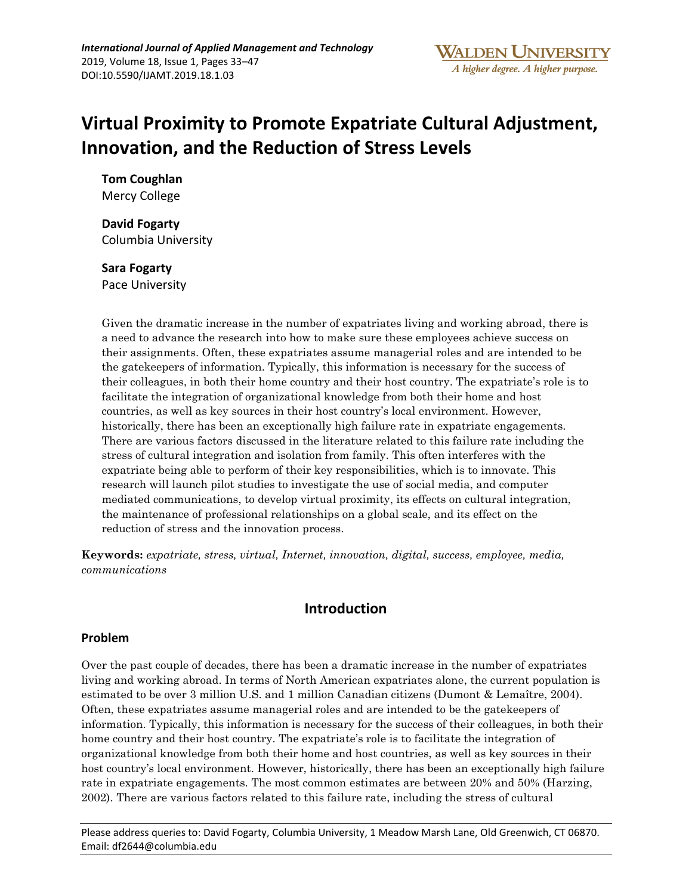# **Virtual Proximity to Promote Expatriate Cultural Adjustment, Innovation, and the Reduction of Stress Levels**

**Tom Coughlan**  Mercy College

**David Fogarty**  Columbia University

**Sara Fogarty**  Pace University

Given the dramatic increase in the number of expatriates living and working abroad, there is a need to advance the research into how to make sure these employees achieve success on their assignments. Often, these expatriates assume managerial roles and are intended to be the gatekeepers of information. Typically, this information is necessary for the success of their colleagues, in both their home country and their host country. The expatriate's role is to facilitate the integration of organizational knowledge from both their home and host countries, as well as key sources in their host country's local environment. However, historically, there has been an exceptionally high failure rate in expatriate engagements. There are various factors discussed in the literature related to this failure rate including the stress of cultural integration and isolation from family. This often interferes with the expatriate being able to perform of their key responsibilities, which is to innovate. This research will launch pilot studies to investigate the use of social media, and computer mediated communications, to develop virtual proximity, its effects on cultural integration, the maintenance of professional relationships on a global scale, and its effect on the reduction of stress and the innovation process.

**Keywords:** *expatriate, stress, virtual, Internet, innovation, digital, success, employee, media, communications*

# **Introduction**

### **Problem**

Over the past couple of decades, there has been a dramatic increase in the number of expatriates living and working abroad. In terms of North American expatriates alone, the current population is estimated to be over 3 million U.S. and 1 million Canadian citizens (Dumont & Lemaître, 2004). Often, these expatriates assume managerial roles and are intended to be the gatekeepers of information. Typically, this information is necessary for the success of their colleagues, in both their home country and their host country. The expatriate's role is to facilitate the integration of organizational knowledge from both their home and host countries, as well as key sources in their host country's local environment. However, historically, there has been an exceptionally high failure rate in expatriate engagements. The most common estimates are between 20% and 50% (Harzing, 2002). There are various factors related to this failure rate, including the stress of cultural

Please address queries to: David Fogarty, Columbia University, 1 Meadow Marsh Lane, Old Greenwich, CT 06870. Email: df2644@columbia.edu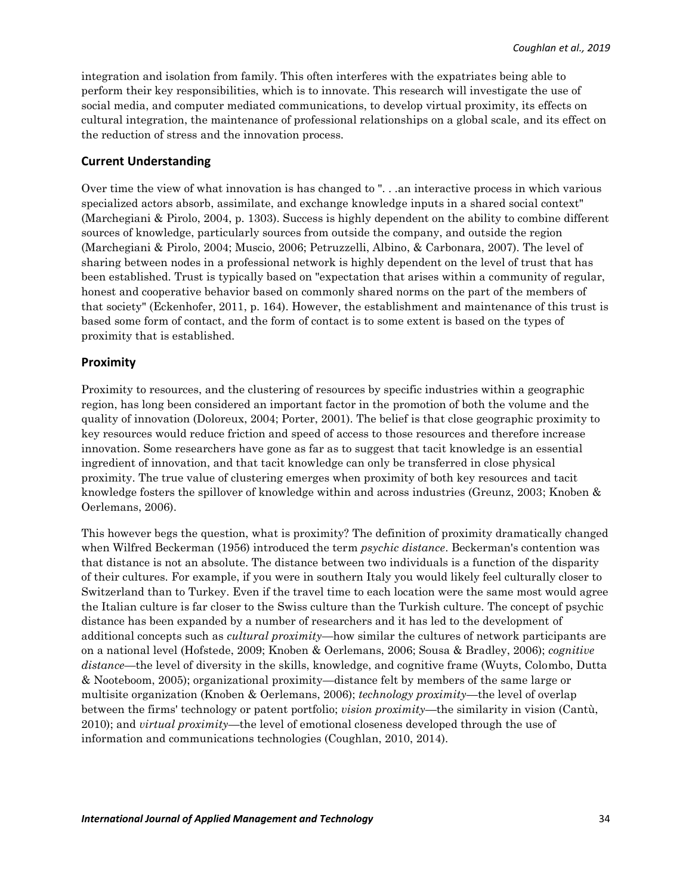integration and isolation from family. This often interferes with the expatriates being able to perform their key responsibilities, which is to innovate. This research will investigate the use of social media, and computer mediated communications, to develop virtual proximity, its effects on cultural integration, the maintenance of professional relationships on a global scale, and its effect on the reduction of stress and the innovation process.

#### **Current Understanding**

Over time the view of what innovation is has changed to ". . .an interactive process in which various specialized actors absorb, assimilate, and exchange knowledge inputs in a shared social context" (Marchegiani & Pirolo, 2004, p. 1303). Success is highly dependent on the ability to combine different sources of knowledge, particularly sources from outside the company, and outside the region (Marchegiani & Pirolo, 2004; Muscio, 2006; Petruzzelli, Albino, & Carbonara, 2007). The level of sharing between nodes in a professional network is highly dependent on the level of trust that has been established. Trust is typically based on "expectation that arises within a community of regular, honest and cooperative behavior based on commonly shared norms on the part of the members of that society" (Eckenhofer, 2011, p. 164). However, the establishment and maintenance of this trust is based some form of contact, and the form of contact is to some extent is based on the types of proximity that is established.

#### **Proximity**

Proximity to resources, and the clustering of resources by specific industries within a geographic region, has long been considered an important factor in the promotion of both the volume and the quality of innovation (Doloreux, 2004; Porter, 2001). The belief is that close geographic proximity to key resources would reduce friction and speed of access to those resources and therefore increase innovation. Some researchers have gone as far as to suggest that tacit knowledge is an essential ingredient of innovation, and that tacit knowledge can only be transferred in close physical proximity. The true value of clustering emerges when proximity of both key resources and tacit knowledge fosters the spillover of knowledge within and across industries (Greunz, 2003; Knoben & Oerlemans, 2006).

This however begs the question, what is proximity? The definition of proximity dramatically changed when Wilfred Beckerman (1956) introduced the term *psychic distance*. Beckerman's contention was that distance is not an absolute. The distance between two individuals is a function of the disparity of their cultures. For example, if you were in southern Italy you would likely feel culturally closer to Switzerland than to Turkey. Even if the travel time to each location were the same most would agree the Italian culture is far closer to the Swiss culture than the Turkish culture. The concept of psychic distance has been expanded by a number of researchers and it has led to the development of additional concepts such as *cultural proximity*—how similar the cultures of network participants are on a national level (Hofstede, 2009; Knoben & Oerlemans, 2006; Sousa & Bradley, 2006); *cognitive distance*—the level of diversity in the skills, knowledge, and cognitive frame (Wuyts, Colombo, Dutta & Nooteboom, 2005); organizational proximity—distance felt by members of the same large or multisite organization (Knoben & Oerlemans, 2006); *technology proximity*—the level of overlap between the firms' technology or patent portfolio; *vision proximity—*the similarity in vision (Cantù, 2010); and *virtual proximity*—the level of emotional closeness developed through the use of information and communications technologies (Coughlan, 2010, 2014).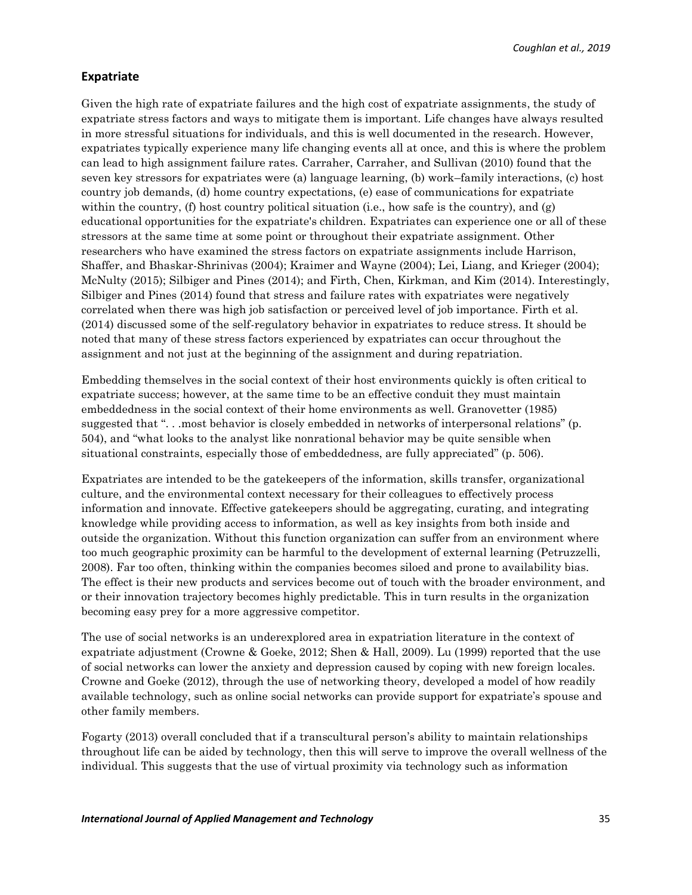*Coughlan et al., 2019*

### **Expatriate**

Given the high rate of expatriate failures and the high cost of expatriate assignments, the study of expatriate stress factors and ways to mitigate them is important. Life changes have always resulted in more stressful situations for individuals, and this is well documented in the research. However, expatriates typically experience many life changing events all at once, and this is where the problem can lead to high assignment failure rates. Carraher, Carraher, and Sullivan (2010) found that the seven key stressors for expatriates were (a) language learning, (b) work–family interactions, (c) host country job demands, (d) home country expectations, (e) ease of communications for expatriate within the country, (f) host country political situation (i.e., how safe is the country), and (g) educational opportunities for the expatriate's children. Expatriates can experience one or all of these stressors at the same time at some point or throughout their expatriate assignment. Other researchers who have examined the stress factors on expatriate assignments include Harrison, Shaffer, and Bhaskar-Shrinivas (2004); Kraimer and Wayne (2004); Lei, Liang, and Krieger (2004); McNulty (2015); Silbiger and Pines (2014); and Firth, Chen, Kirkman, and Kim (2014). Interestingly, Silbiger and Pines (2014) found that stress and failure rates with expatriates were negatively correlated when there was high job satisfaction or perceived level of job importance. Firth et al. (2014) discussed some of the self-regulatory behavior in expatriates to reduce stress. It should be noted that many of these stress factors experienced by expatriates can occur throughout the assignment and not just at the beginning of the assignment and during repatriation.

Embedding themselves in the social context of their host environments quickly is often critical to expatriate success; however, at the same time to be an effective conduit they must maintain embeddedness in the social context of their home environments as well. Granovetter (1985) suggested that "... most behavior is closely embedded in networks of interpersonal relations" (p. 504), and "what looks to the analyst like nonrational behavior may be quite sensible when situational constraints, especially those of embeddedness, are fully appreciated" (p. 506).

Expatriates are intended to be the gatekeepers of the information, skills transfer, organizational culture, and the environmental context necessary for their colleagues to effectively process information and innovate. Effective gatekeepers should be aggregating, curating, and integrating knowledge while providing access to information, as well as key insights from both inside and outside the organization. Without this function organization can suffer from an environment where too much geographic proximity can be harmful to the development of external learning (Petruzzelli, 2008). Far too often, thinking within the companies becomes siloed and prone to availability bias. The effect is their new products and services become out of touch with the broader environment, and or their innovation trajectory becomes highly predictable. This in turn results in the organization becoming easy prey for a more aggressive competitor.

The use of social networks is an underexplored area in expatriation literature in the context of expatriate adjustment (Crowne & Goeke, 2012; Shen & Hall, 2009). Lu (1999) reported that the use of social networks can lower the anxiety and depression caused by coping with new foreign locales. Crowne and Goeke (2012), through the use of networking theory, developed a model of how readily available technology, such as online social networks can provide support for expatriate's spouse and other family members.

Fogarty (2013) overall concluded that if a transcultural person's ability to maintain relationships throughout life can be aided by technology, then this will serve to improve the overall wellness of the individual. This suggests that the use of virtual proximity via technology such as information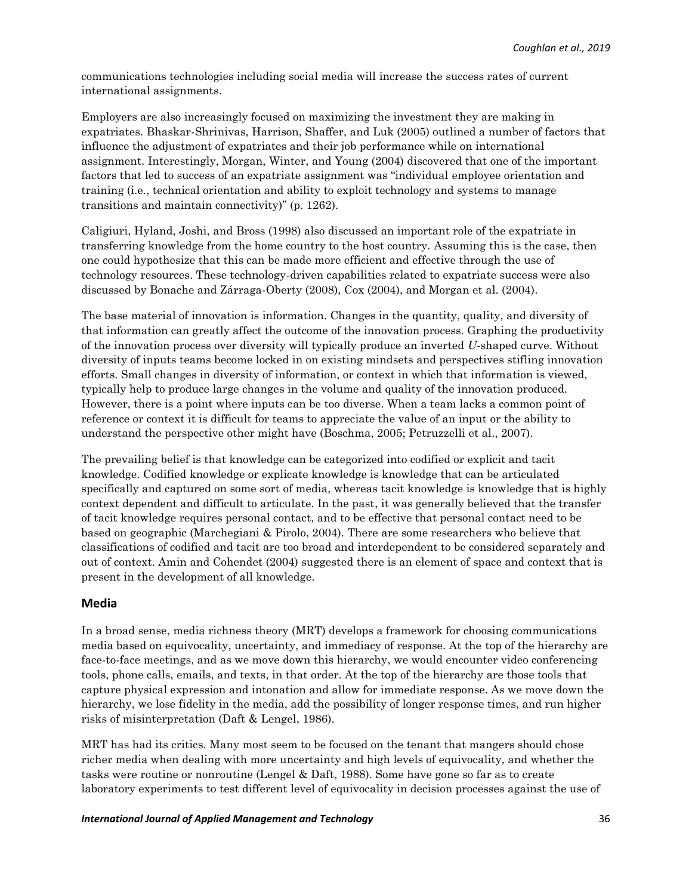communications technologies including social media will increase the success rates of current international assignments.

Employers are also increasingly focused on maximizing the investment they are making in expatriates. Bhaskar-Shrinivas, Harrison, Shaffer, and Luk (2005) outlined a number of factors that influence the adjustment of expatriates and their job performance while on international assignment. Interestingly, Morgan, Winter, and Young (2004) discovered that one of the important factors that led to success of an expatriate assignment was "individual employee orientation and training (i.e., technical orientation and ability to exploit technology and systems to manage transitions and maintain connectivity)" (p. 1262).

Caligiuri, Hyland, Joshi, and Bross (1998) also discussed an important role of the expatriate in transferring knowledge from the home country to the host country. Assuming this is the case, then one could hypothesize that this can be made more efficient and effective through the use of technology resources. These technology-driven capabilities related to expatriate success were also discussed by Bonache and Zárraga-Oberty (2008), Cox (2004), and Morgan et al. (2004).

The base material of innovation is information. Changes in the quantity, quality, and diversity of that information can greatly affect the outcome of the innovation process. Graphing the productivity of the innovation process over diversity will typically produce an inverted *U*-shaped curve. Without diversity of inputs teams become locked in on existing mindsets and perspectives stifling innovation efforts. Small changes in diversity of information, or context in which that information is viewed, typically help to produce large changes in the volume and quality of the innovation produced. However, there is a point where inputs can be too diverse. When a team lacks a common point of reference or context it is difficult for teams to appreciate the value of an input or the ability to understand the perspective other might have (Boschma, 2005; Petruzzelli et al., 2007).

The prevailing belief is that knowledge can be categorized into codified or explicit and tacit knowledge. Codified knowledge or explicate knowledge is knowledge that can be articulated specifically and captured on some sort of media, whereas tacit knowledge is knowledge that is highly context dependent and difficult to articulate. In the past, it was generally believed that the transfer of tacit knowledge requires personal contact, and to be effective that personal contact need to be based on geographic (Marchegiani & Pirolo, 2004). There are some researchers who believe that classifications of codified and tacit are too broad and interdependent to be considered separately and out of context. Amin and Cohendet (2004) suggested there is an element of space and context that is present in the development of all knowledge.

### **Media**

In a broad sense, media richness theory (MRT) develops a framework for choosing communications media based on equivocality, uncertainty, and immediacy of response. At the top of the hierarchy are face-to-face meetings, and as we move down this hierarchy, we would encounter video conferencing tools, phone calls, emails, and texts, in that order. At the top of the hierarchy are those tools that capture physical expression and intonation and allow for immediate response. As we move down the hierarchy, we lose fidelity in the media, add the possibility of longer response times, and run higher risks of misinterpretation (Daft & Lengel, 1986).

MRT has had its critics. Many most seem to be focused on the tenant that mangers should chose richer media when dealing with more uncertainty and high levels of equivocality, and whether the tasks were routine or nonroutine (Lengel & Daft, 1988). Some have gone so far as to create laboratory experiments to test different level of equivocality in decision processes against the use of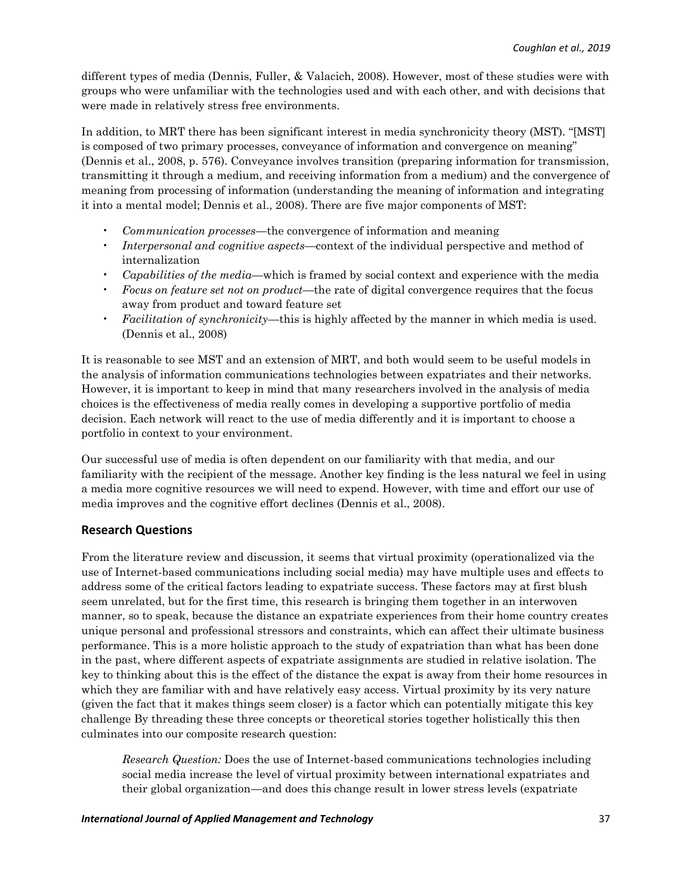different types of media (Dennis, Fuller, & Valacich, 2008). However, most of these studies were with groups who were unfamiliar with the technologies used and with each other, and with decisions that were made in relatively stress free environments.

In addition, to MRT there has been significant interest in media synchronicity theory (MST). "[MST] is composed of two primary processes, conveyance of information and convergence on meaning" (Dennis et al., 2008, p. 576). Conveyance involves transition (preparing information for transmission, transmitting it through a medium, and receiving information from a medium) and the convergence of meaning from processing of information (understanding the meaning of information and integrating it into a mental model; Dennis et al., 2008). There are five major components of MST:

- *Communication processes—*the convergence of information and meaning
- *Interpersonal and cognitive aspects—*context of the individual perspective and method of internalization
- *Capabilities of the media—*which is framed by social context and experience with the media
- *Focus on feature set not on product—*the rate of digital convergence requires that the focus away from product and toward feature set
- *Facilitation of synchronicity—*this is highly affected by the manner in which media is used. (Dennis et al., 2008)

It is reasonable to see MST and an extension of MRT, and both would seem to be useful models in the analysis of information communications technologies between expatriates and their networks. However, it is important to keep in mind that many researchers involved in the analysis of media choices is the effectiveness of media really comes in developing a supportive portfolio of media decision. Each network will react to the use of media differently and it is important to choose a portfolio in context to your environment.

Our successful use of media is often dependent on our familiarity with that media, and our familiarity with the recipient of the message. Another key finding is the less natural we feel in using a media more cognitive resources we will need to expend. However, with time and effort our use of media improves and the cognitive effort declines (Dennis et al., 2008).

# **Research Questions**

From the literature review and discussion, it seems that virtual proximity (operationalized via the use of Internet-based communications including social media) may have multiple uses and effects to address some of the critical factors leading to expatriate success. These factors may at first blush seem unrelated, but for the first time, this research is bringing them together in an interwoven manner, so to speak, because the distance an expatriate experiences from their home country creates unique personal and professional stressors and constraints, which can affect their ultimate business performance. This is a more holistic approach to the study of expatriation than what has been done in the past, where different aspects of expatriate assignments are studied in relative isolation. The key to thinking about this is the effect of the distance the expat is away from their home resources in which they are familiar with and have relatively easy access. Virtual proximity by its very nature (given the fact that it makes things seem closer) is a factor which can potentially mitigate this key challenge By threading these three concepts or theoretical stories together holistically this then culminates into our composite research question:

*Research Question:* Does the use of Internet-based communications technologies including social media increase the level of virtual proximity between international expatriates and their global organization—and does this change result in lower stress levels (expatriate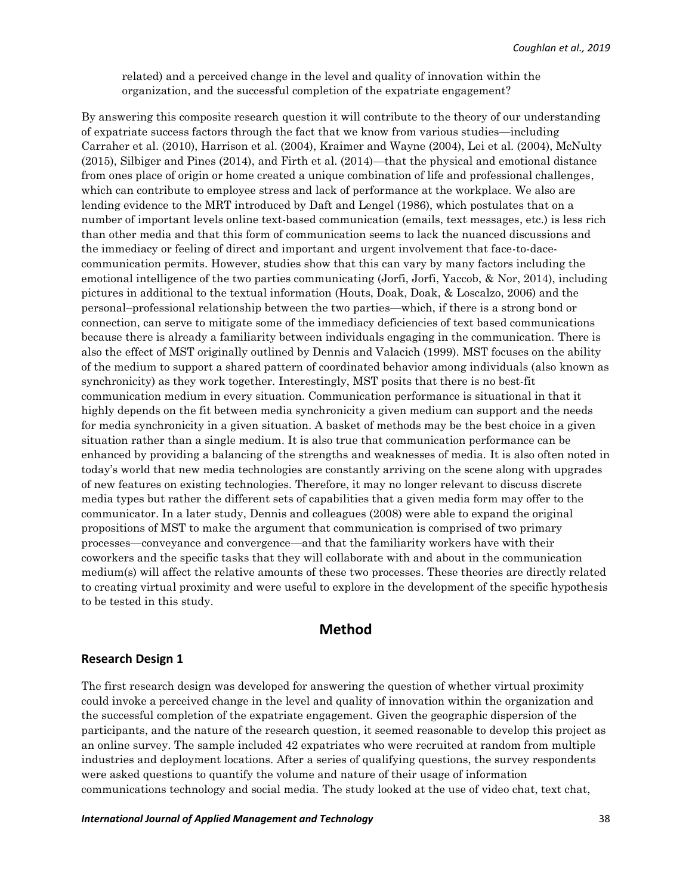related) and a perceived change in the level and quality of innovation within the organization, and the successful completion of the expatriate engagement?

By answering this composite research question it will contribute to the theory of our understanding of expatriate success factors through the fact that we know from various studies—including Carraher et al. (2010), Harrison et al. (2004), Kraimer and Wayne (2004), Lei et al. (2004), McNulty (2015), Silbiger and Pines (2014), and Firth et al. (2014)—that the physical and emotional distance from ones place of origin or home created a unique combination of life and professional challenges, which can contribute to employee stress and lack of performance at the workplace. We also are lending evidence to the MRT introduced by Daft and Lengel (1986), which postulates that on a number of important levels online text-based communication (emails, text messages, etc.) is less rich than other media and that this form of communication seems to lack the nuanced discussions and the immediacy or feeling of direct and important and urgent involvement that face-to-dacecommunication permits. However, studies show that this can vary by many factors including the emotional intelligence of the two parties communicating (Jorfi, Jorfi, Yaccob, & Nor, 2014), including pictures in additional to the textual information (Houts, Doak, Doak, & Loscalzo, 2006) and the personal–professional relationship between the two parties—which, if there is a strong bond or connection, can serve to mitigate some of the immediacy deficiencies of text based communications because there is already a familiarity between individuals engaging in the communication. There is also the effect of MST originally outlined by Dennis and Valacich (1999). MST focuses on the ability of the medium to support a shared pattern of coordinated behavior among individuals (also known as synchronicity) as they work together. Interestingly, MST posits that there is no best-fit communication medium in every situation. Communication performance is situational in that it highly depends on the fit between media synchronicity a given medium can support and the needs for media synchronicity in a given situation. A basket of methods may be the best choice in a given situation rather than a single medium. It is also true that communication performance can be enhanced by providing a balancing of the strengths and weaknesses of media. It is also often noted in today's world that new media technologies are constantly arriving on the scene along with upgrades of new features on existing technologies. Therefore, it may no longer relevant to discuss discrete media types but rather the different sets of capabilities that a given media form may offer to the communicator. In a later study, Dennis and colleagues (2008) were able to expand the original propositions of MST to make the argument that communication is comprised of two primary processes—conveyance and convergence—and that the familiarity workers have with their coworkers and the specific tasks that they will collaborate with and about in the communication medium(s) will affect the relative amounts of these two processes. These theories are directly related to creating virtual proximity and were useful to explore in the development of the specific hypothesis to be tested in this study.

# **Method**

#### **Research Design 1**

The first research design was developed for answering the question of whether virtual proximity could invoke a perceived change in the level and quality of innovation within the organization and the successful completion of the expatriate engagement. Given the geographic dispersion of the participants, and the nature of the research question, it seemed reasonable to develop this project as an online survey. The sample included 42 expatriates who were recruited at random from multiple industries and deployment locations. After a series of qualifying questions, the survey respondents were asked questions to quantify the volume and nature of their usage of information communications technology and social media. The study looked at the use of video chat, text chat,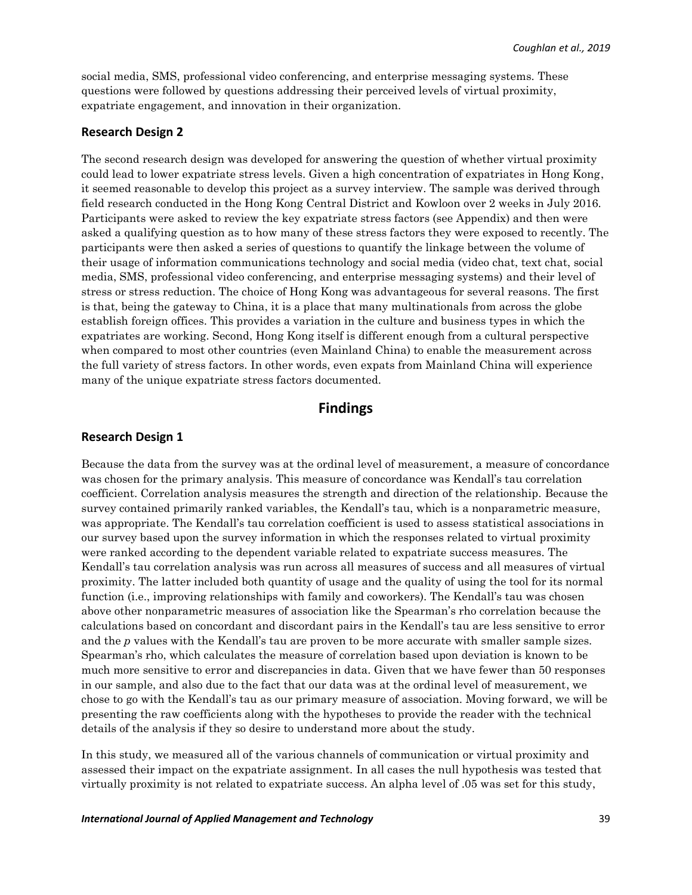social media, SMS, professional video conferencing, and enterprise messaging systems. These questions were followed by questions addressing their perceived levels of virtual proximity, expatriate engagement, and innovation in their organization.

#### **Research Design 2**

The second research design was developed for answering the question of whether virtual proximity could lead to lower expatriate stress levels. Given a high concentration of expatriates in Hong Kong, it seemed reasonable to develop this project as a survey interview. The sample was derived through field research conducted in the Hong Kong Central District and Kowloon over 2 weeks in July 2016. Participants were asked to review the key expatriate stress factors (see Appendix) and then were asked a qualifying question as to how many of these stress factors they were exposed to recently. The participants were then asked a series of questions to quantify the linkage between the volume of their usage of information communications technology and social media (video chat, text chat, social media, SMS, professional video conferencing, and enterprise messaging systems) and their level of stress or stress reduction. The choice of Hong Kong was advantageous for several reasons. The first is that, being the gateway to China, it is a place that many multinationals from across the globe establish foreign offices. This provides a variation in the culture and business types in which the expatriates are working. Second, Hong Kong itself is different enough from a cultural perspective when compared to most other countries (even Mainland China) to enable the measurement across the full variety of stress factors. In other words, even expats from Mainland China will experience many of the unique expatriate stress factors documented.

# **Findings**

#### **Research Design 1**

Because the data from the survey was at the ordinal level of measurement, a measure of concordance was chosen for the primary analysis. This measure of concordance was Kendall's tau correlation coefficient. Correlation analysis measures the strength and direction of the relationship. Because the survey contained primarily ranked variables, the Kendall's tau, which is a nonparametric measure, was appropriate. The Kendall's tau correlation coefficient is used to assess statistical associations in our survey based upon the survey information in which the responses related to virtual proximity were ranked according to the dependent variable related to expatriate success measures. The Kendall's tau correlation analysis was run across all measures of success and all measures of virtual proximity. The latter included both quantity of usage and the quality of using the tool for its normal function (i.e., improving relationships with family and coworkers). The Kendall's tau was chosen above other nonparametric measures of association like the Spearman's rho correlation because the calculations based on concordant and discordant pairs in the Kendall's tau are less sensitive to error and the *p* values with the Kendall's tau are proven to be more accurate with smaller sample sizes. Spearman's rho, which calculates the measure of correlation based upon deviation is known to be much more sensitive to error and discrepancies in data. Given that we have fewer than 50 responses in our sample, and also due to the fact that our data was at the ordinal level of measurement, we chose to go with the Kendall's tau as our primary measure of association. Moving forward, we will be presenting the raw coefficients along with the hypotheses to provide the reader with the technical details of the analysis if they so desire to understand more about the study.

In this study, we measured all of the various channels of communication or virtual proximity and assessed their impact on the expatriate assignment. In all cases the null hypothesis was tested that virtually proximity is not related to expatriate success. An alpha level of .05 was set for this study,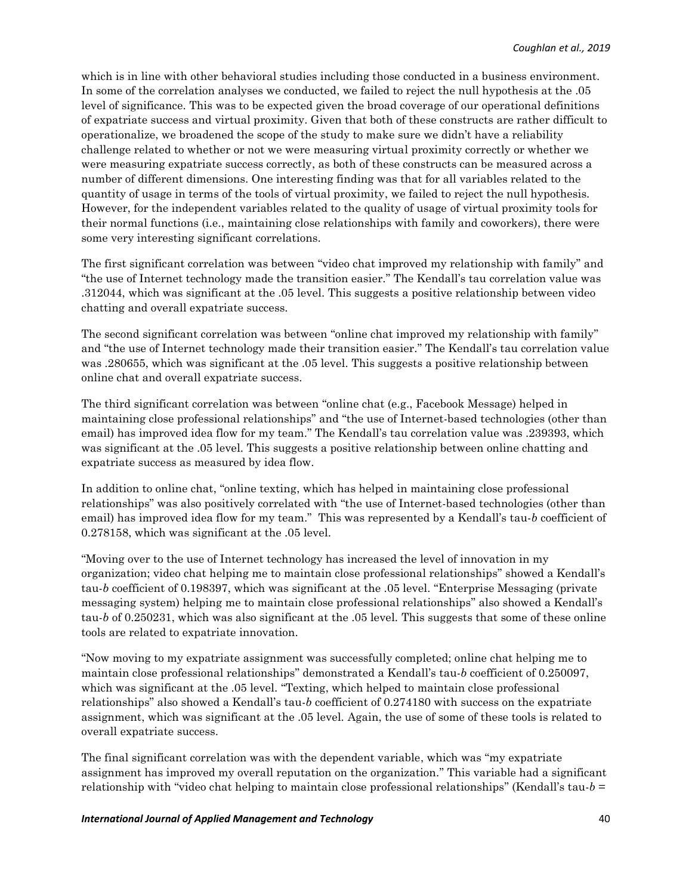which is in line with other behavioral studies including those conducted in a business environment. In some of the correlation analyses we conducted, we failed to reject the null hypothesis at the .05 level of significance. This was to be expected given the broad coverage of our operational definitions of expatriate success and virtual proximity. Given that both of these constructs are rather difficult to operationalize, we broadened the scope of the study to make sure we didn't have a reliability challenge related to whether or not we were measuring virtual proximity correctly or whether we were measuring expatriate success correctly, as both of these constructs can be measured across a number of different dimensions. One interesting finding was that for all variables related to the quantity of usage in terms of the tools of virtual proximity, we failed to reject the null hypothesis. However, for the independent variables related to the quality of usage of virtual proximity tools for their normal functions (i.e., maintaining close relationships with family and coworkers), there were some very interesting significant correlations.

The first significant correlation was between "video chat improved my relationship with family" and "the use of Internet technology made the transition easier." The Kendall's tau correlation value was .312044, which was significant at the .05 level. This suggests a positive relationship between video chatting and overall expatriate success.

The second significant correlation was between "online chat improved my relationship with family" and "the use of Internet technology made their transition easier." The Kendall's tau correlation value was .280655, which was significant at the .05 level. This suggests a positive relationship between online chat and overall expatriate success.

The third significant correlation was between "online chat (e.g., Facebook Message) helped in maintaining close professional relationships" and "the use of Internet-based technologies (other than email) has improved idea flow for my team." The Kendall's tau correlation value was .239393, which was significant at the .05 level. This suggests a positive relationship between online chatting and expatriate success as measured by idea flow.

In addition to online chat, "online texting, which has helped in maintaining close professional relationships" was also positively correlated with "the use of Internet-based technologies (other than email) has improved idea flow for my team." This was represented by a Kendall's tau-*b* coefficient of 0.278158, which was significant at the .05 level.

"Moving over to the use of Internet technology has increased the level of innovation in my organization; video chat helping me to maintain close professional relationships" showed a Kendall's tau-*b* coefficient of 0.198397, which was significant at the .05 level. "Enterprise Messaging (private messaging system) helping me to maintain close professional relationships" also showed a Kendall's tau-*b* of 0.250231, which was also significant at the .05 level. This suggests that some of these online tools are related to expatriate innovation.

"Now moving to my expatriate assignment was successfully completed; online chat helping me to maintain close professional relationships" demonstrated a Kendall's tau-*b* coefficient of 0.250097, which was significant at the .05 level. "Texting, which helped to maintain close professional relationships" also showed a Kendall's tau-*b* coefficient of 0.274180 with success on the expatriate assignment, which was significant at the .05 level. Again, the use of some of these tools is related to overall expatriate success.

The final significant correlation was with the dependent variable, which was "my expatriate assignment has improved my overall reputation on the organization." This variable had a significant relationship with "video chat helping to maintain close professional relationships" (Kendall's tau-*b* =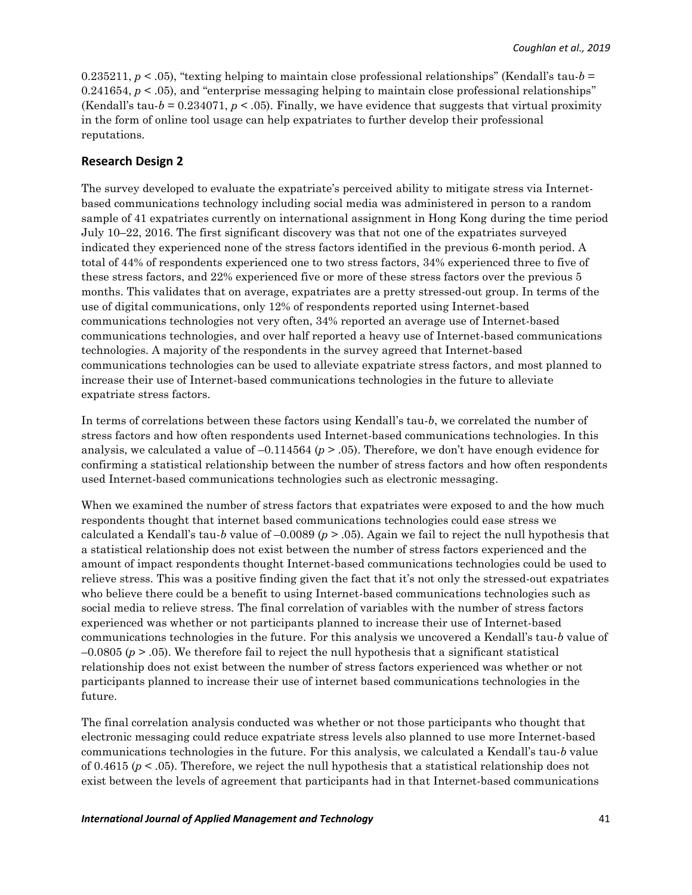0.235211,  $p < 0.05$ , "texting helping to maintain close professional relationships" (Kendall's tau- $b =$ 0.241654,  $p < 0.05$ ), and "enterprise messaging helping to maintain close professional relationships" (Kendall's tau- $b = 0.234071$ ,  $p < .05$ ). Finally, we have evidence that suggests that virtual proximity in the form of online tool usage can help expatriates to further develop their professional reputations.

#### **Research Design 2**

The survey developed to evaluate the expatriate's perceived ability to mitigate stress via Internetbased communications technology including social media was administered in person to a random sample of 41 expatriates currently on international assignment in Hong Kong during the time period July 10–22, 2016. The first significant discovery was that not one of the expatriates surveyed indicated they experienced none of the stress factors identified in the previous 6-month period. A total of 44% of respondents experienced one to two stress factors, 34% experienced three to five of these stress factors, and 22% experienced five or more of these stress factors over the previous 5 months. This validates that on average, expatriates are a pretty stressed-out group. In terms of the use of digital communications, only 12% of respondents reported using Internet-based communications technologies not very often, 34% reported an average use of Internet-based communications technologies, and over half reported a heavy use of Internet-based communications technologies. A majority of the respondents in the survey agreed that Internet-based communications technologies can be used to alleviate expatriate stress factors, and most planned to increase their use of Internet-based communications technologies in the future to alleviate expatriate stress factors.

In terms of correlations between these factors using Kendall's tau-*b*, we correlated the number of stress factors and how often respondents used Internet-based communications technologies. In this analysis, we calculated a value of –0.114564 (*p* > .05). Therefore, we don't have enough evidence for confirming a statistical relationship between the number of stress factors and how often respondents used Internet-based communications technologies such as electronic messaging.

When we examined the number of stress factors that expatriates were exposed to and the how much respondents thought that internet based communications technologies could ease stress we calculated a Kendall's tau-*b* value of –0.0089 (*p* > .05). Again we fail to reject the null hypothesis that a statistical relationship does not exist between the number of stress factors experienced and the amount of impact respondents thought Internet-based communications technologies could be used to relieve stress. This was a positive finding given the fact that it's not only the stressed-out expatriates who believe there could be a benefit to using Internet-based communications technologies such as social media to relieve stress. The final correlation of variables with the number of stress factors experienced was whether or not participants planned to increase their use of Internet-based communications technologies in the future. For this analysis we uncovered a Kendall's tau-*b* value of  $-0.0805$  ( $p > .05$ ). We therefore fail to reject the null hypothesis that a significant statistical relationship does not exist between the number of stress factors experienced was whether or not participants planned to increase their use of internet based communications technologies in the future.

The final correlation analysis conducted was whether or not those participants who thought that electronic messaging could reduce expatriate stress levels also planned to use more Internet-based communications technologies in the future. For this analysis, we calculated a Kendall's tau-*b* value of 0.4615 ( $p < .05$ ). Therefore, we reject the null hypothesis that a statistical relationship does not exist between the levels of agreement that participants had in that Internet-based communications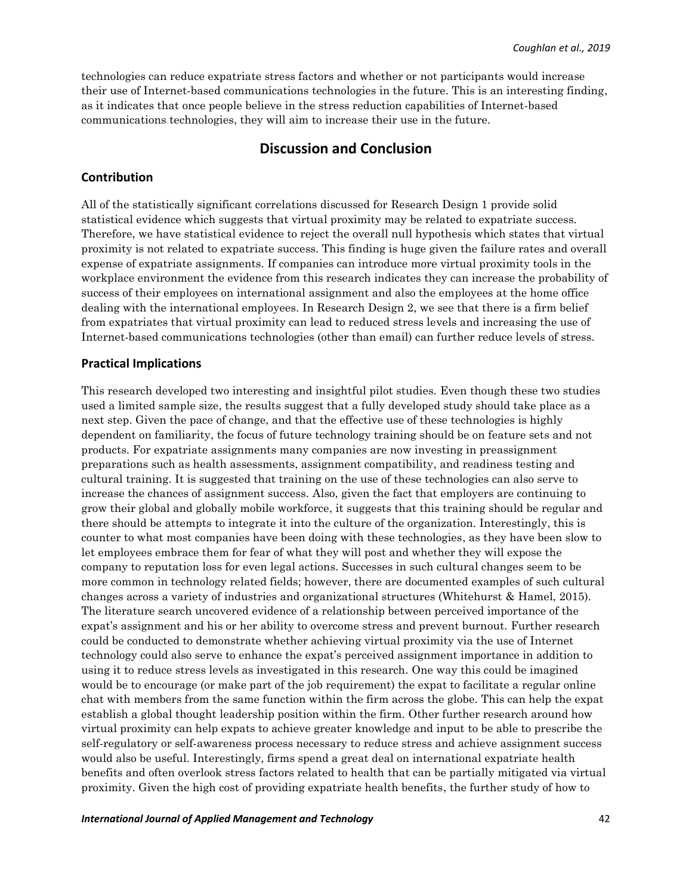technologies can reduce expatriate stress factors and whether or not participants would increase their use of Internet-based communications technologies in the future. This is an interesting finding, as it indicates that once people believe in the stress reduction capabilities of Internet-based communications technologies, they will aim to increase their use in the future.

# **Discussion and Conclusion**

#### **Contribution**

All of the statistically significant correlations discussed for Research Design 1 provide solid statistical evidence which suggests that virtual proximity may be related to expatriate success. Therefore, we have statistical evidence to reject the overall null hypothesis which states that virtual proximity is not related to expatriate success. This finding is huge given the failure rates and overall expense of expatriate assignments. If companies can introduce more virtual proximity tools in the workplace environment the evidence from this research indicates they can increase the probability of success of their employees on international assignment and also the employees at the home office dealing with the international employees. In Research Design 2, we see that there is a firm belief from expatriates that virtual proximity can lead to reduced stress levels and increasing the use of Internet-based communications technologies (other than email) can further reduce levels of stress.

#### **Practical Implications**

This research developed two interesting and insightful pilot studies. Even though these two studies used a limited sample size, the results suggest that a fully developed study should take place as a next step. Given the pace of change, and that the effective use of these technologies is highly dependent on familiarity, the focus of future technology training should be on feature sets and not products. For expatriate assignments many companies are now investing in preassignment preparations such as health assessments, assignment compatibility, and readiness testing and cultural training. It is suggested that training on the use of these technologies can also serve to increase the chances of assignment success. Also, given the fact that employers are continuing to grow their global and globally mobile workforce, it suggests that this training should be regular and there should be attempts to integrate it into the culture of the organization. Interestingly, this is counter to what most companies have been doing with these technologies, as they have been slow to let employees embrace them for fear of what they will post and whether they will expose the company to reputation loss for even legal actions. Successes in such cultural changes seem to be more common in technology related fields; however, there are documented examples of such cultural changes across a variety of industries and organizational structures (Whitehurst & Hamel, 2015). The literature search uncovered evidence of a relationship between perceived importance of the expat's assignment and his or her ability to overcome stress and prevent burnout. Further research could be conducted to demonstrate whether achieving virtual proximity via the use of Internet technology could also serve to enhance the expat's perceived assignment importance in addition to using it to reduce stress levels as investigated in this research. One way this could be imagined would be to encourage (or make part of the job requirement) the expat to facilitate a regular online chat with members from the same function within the firm across the globe. This can help the expat establish a global thought leadership position within the firm. Other further research around how virtual proximity can help expats to achieve greater knowledge and input to be able to prescribe the self-regulatory or self-awareness process necessary to reduce stress and achieve assignment success would also be useful. Interestingly, firms spend a great deal on international expatriate health benefits and often overlook stress factors related to health that can be partially mitigated via virtual proximity. Given the high cost of providing expatriate health benefits, the further study of how to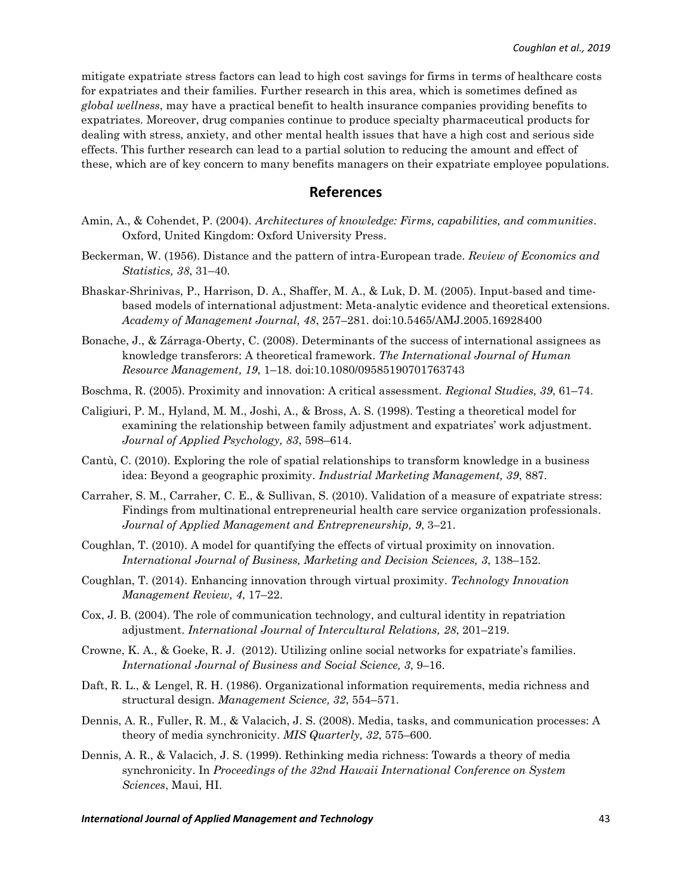mitigate expatriate stress factors can lead to high cost savings for firms in terms of healthcare costs for expatriates and their families. Further research in this area, which is sometimes defined as *global wellness*, may have a practical benefit to health insurance companies providing benefits to expatriates. Moreover, drug companies continue to produce specialty pharmaceutical products for dealing with stress, anxiety, and other mental health issues that have a high cost and serious side effects. This further research can lead to a partial solution to reducing the amount and effect of these, which are of key concern to many benefits managers on their expatriate employee populations.

# **References**

- Amin, A., & Cohendet, P. (2004). *Architectures of knowledge: Firms, capabilities, and communities*. Oxford, United Kingdom: Oxford University Press.
- Beckerman, W. (1956). Distance and the pattern of intra-European trade. *Review of Economics and Statistics, 38*, 31–40.
- Bhaskar-Shrinivas, P., Harrison, D. A., Shaffer, M. A., & Luk, D. M. (2005). Input-based and timebased models of international adjustment: Meta-analytic evidence and theoretical extensions. *Academy of Management Journal, 48*, 257–281. doi:10.5465/AMJ.2005.16928400
- Bonache, J., & Zárraga-Oberty, C. (2008). Determinants of the success of international assignees as knowledge transferors: A theoretical framework. *The International Journal of Human Resource Management, 19*, 1–18. doi:10.1080/09585190701763743
- Boschma, R. (2005). Proximity and innovation: A critical assessment. *Regional Studies, 39*, 61–74.
- Caligiuri, P. M., Hyland, M. M., Joshi, A., & Bross, A. S. (1998). Testing a theoretical model for examining the relationship between family adjustment and expatriates' work adjustment. *Journal of Applied Psychology, 83*, 598–614.
- Cantù, C. (2010). Exploring the role of spatial relationships to transform knowledge in a business idea: Beyond a geographic proximity. *Industrial Marketing Management, 39*, 887.
- Carraher, S. M., Carraher, C. E., & Sullivan, S. (2010). Validation of a measure of expatriate stress: Findings from multinational entrepreneurial health care service organization professionals. *Journal of Applied Management and Entrepreneurship, 9*, 3–21.
- Coughlan, T. (2010). A model for quantifying the effects of virtual proximity on innovation. *International Journal of Business, Marketing and Decision Sciences, 3*, 138–152.
- Coughlan, T. (2014). Enhancing innovation through virtual proximity. *Technology Innovation Management Review, 4*, 17–22.
- Cox, J. B. (2004). The role of communication technology, and cultural identity in repatriation adjustment. *International Journal of Intercultural Relations, 28*, 201–219.
- Crowne, K. A., & Goeke, R. J. (2012). Utilizing online social networks for expatriate's families. *International Journal of Business and Social Science, 3*, 9–16.
- Daft, R. L., & Lengel, R. H. (1986). Organizational information requirements, media richness and structural design. *Management Science, 32*, 554–571.
- Dennis, A. R., Fuller, R. M., & Valacich, J. S. (2008). Media, tasks, and communication processes: A theory of media synchronicity. *MIS Quarterly, 32*, 575–600.
- Dennis, A. R., & Valacich, J. S. (1999). Rethinking media richness: Towards a theory of media synchronicity. In *Proceedings of the 32nd Hawaii International Conference on System Sciences*, Maui, HI.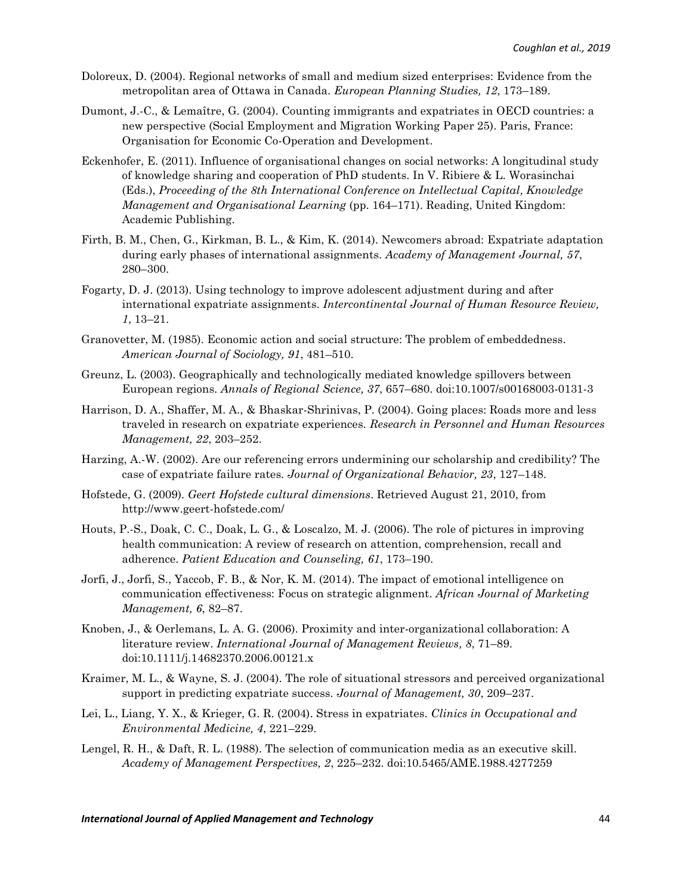- Doloreux, D. (2004). Regional networks of small and medium sized enterprises: Evidence from the metropolitan area of Ottawa in Canada. *European Planning Studies, 12*, 173–189.
- Dumont, J.-C., & Lemaître, G. (2004). Counting immigrants and expatriates in OECD countries: a new perspective (Social Employment and Migration Working Paper 25). Paris, France: Organisation for Economic Co-Operation and Development.
- Eckenhofer, E. (2011). Influence of organisational changes on social networks: A longitudinal study of knowledge sharing and cooperation of PhD students. In V. Ribiere & L. Worasinchai (Eds.), *Proceeding of the 8th International Conference on Intellectual Capital, Knowledge Management and Organisational Learning* (pp. 164–171). Reading, United Kingdom: Academic Publishing.
- Firth, B. M., Chen, G., Kirkman, B. L., & Kim, K. (2014). Newcomers abroad: Expatriate adaptation during early phases of international assignments. *Academy of Management Journal, 57*, 280–300.
- Fogarty, D. J. (2013). Using technology to improve adolescent adjustment during and after international expatriate assignments. *Intercontinental Journal of Human Resource Review, 1*, 13–21.
- Granovetter, M. (1985). Economic action and social structure: The problem of embeddedness. *American Journal of Sociology, 91*, 481–510.
- Greunz, L. (2003). Geographically and technologically mediated knowledge spillovers between European regions. *Annals of Regional Science, 37*, 657–680. doi:10.1007/s00168003-0131-3
- Harrison, D. A., Shaffer, M. A., & Bhaskar-Shrinivas, P. (2004). Going places: Roads more and less traveled in research on expatriate experiences. *Research in Personnel and Human Resources Management, 22*, 203–252.
- Harzing, A.-W. (2002). Are our referencing errors undermining our scholarship and credibility? The case of expatriate failure rates. *Journal of Organizational Behavior, 23*, 127–148.
- Hofstede, G. (2009). *Geert Hofstede cultural dimensions*. Retrieved August 21, 2010, from http://www.geert-hofstede.com/
- Houts, P.-S., Doak, C. C., Doak, L. G., & Loscalzo, M. J. (2006). The role of pictures in improving health communication: A review of research on attention, comprehension, recall and adherence. *Patient Education and Counseling, 61*, 173–190.
- Jorfi, J., Jorfi, S., Yaccob, F. B., & Nor, K. M. (2014). The impact of emotional intelligence on communication effectiveness: Focus on strategic alignment. *African Journal of Marketing Management, 6*, 82–87.
- Knoben, J., & Oerlemans, L. A. G. (2006). Proximity and inter-organizational collaboration: A literature review. *International Journal of Management Reviews, 8*, 71–89. doi:10.1111/j.14682370.2006.00121.x
- Kraimer, M. L., & Wayne, S. J. (2004). The role of situational stressors and perceived organizational support in predicting expatriate success. *Journal of Management, 30*, 209–237.
- Lei, L., Liang, Y. X., & Krieger, G. R. (2004). Stress in expatriates. *Clinics in Occupational and Environmental Medicine, 4*, 221–229.
- Lengel, R. H., & Daft, R. L. (1988). The selection of communication media as an executive skill. *Academy of Management Perspectives, 2*, 225–232. doi:10.5465/AME.1988.4277259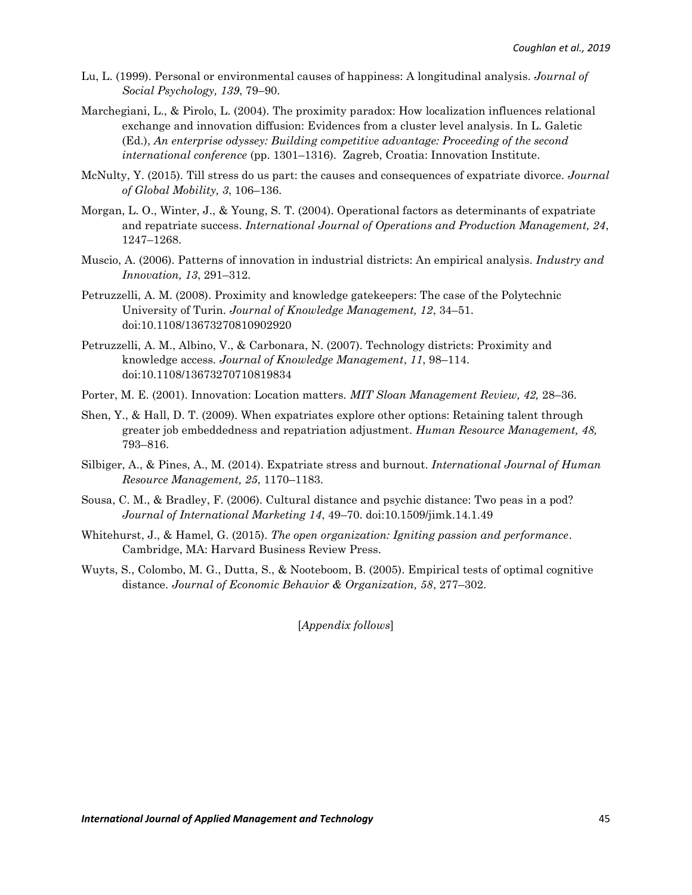- Lu, L. (1999). Personal or environmental causes of happiness: A longitudinal analysis. *Journal of Social Psychology, 139*, 79–90.
- Marchegiani, L., & Pirolo, L. (2004). The proximity paradox: How localization influences relational exchange and innovation diffusion: Evidences from a cluster level analysis. In L. Galetic (Ed.), *An enterprise odyssey: Building competitive advantage: Proceeding of the second international conference* (pp. 1301–1316). Zagreb, Croatia: Innovation Institute.
- McNulty, Y. (2015). Till stress do us part: the causes and consequences of expatriate divorce. *Journal of Global Mobility, 3*, 106–136.
- Morgan, L. O., Winter, J., & Young, S. T. (2004). Operational factors as determinants of expatriate and repatriate success. *International Journal of Operations and Production Management, 24*, 1247–1268.
- Muscio, A. (2006). Patterns of innovation in industrial districts: An empirical analysis. *Industry and Innovation, 13*, 291–312.
- Petruzzelli, A. M. (2008). Proximity and knowledge gatekeepers: The case of the Polytechnic University of Turin. *Journal of Knowledge Management, 12*, 34–51. doi:10.1108/13673270810902920
- Petruzzelli, A. M., Albino, V., & Carbonara, N. (2007). Technology districts: Proximity and knowledge access. *Journal of Knowledge Management*, *11*, 98–114. doi:10.1108/13673270710819834
- Porter, M. E. (2001). Innovation: Location matters. *MIT Sloan Management Review, 42,* 28–36.
- Shen, Y., & Hall, D. T. (2009). When expatriates explore other options: Retaining talent through greater job embeddedness and repatriation adjustment. *Human Resource Management, 48,*  793–816.
- Silbiger, A., & Pines, A., M. (2014). Expatriate stress and burnout. *International Journal of Human Resource Management, 25*, 1170–1183.
- Sousa, C. M., & Bradley, F. (2006). Cultural distance and psychic distance: Two peas in a pod? *Journal of International Marketing 14*, 49–70. doi:10.1509/jimk.14.1.49
- Whitehurst, J., & Hamel, G. (2015). *The open organization: Igniting passion and performance*. Cambridge, MA: Harvard Business Review Press.
- Wuyts, S., Colombo, M. G., Dutta, S., & Nooteboom, B. (2005). Empirical tests of optimal cognitive distance. *Journal of Economic Behavior & Organization, 58*, 277–302.

[*Appendix follows*]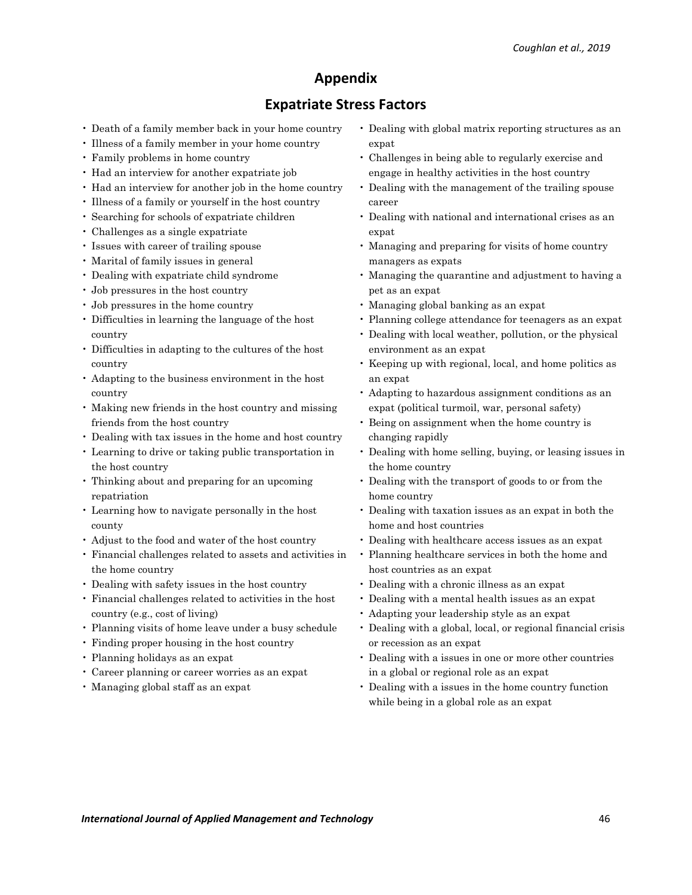# **Appendix**

# **Expatriate Stress Factors**

- Death of a family member back in your home country
- Illness of a family member in your home country
- Family problems in home country
- Had an interview for another expatriate job
- Had an interview for another job in the home country
- Illness of a family or yourself in the host country
- Searching for schools of expatriate children
- Challenges as a single expatriate
- Issues with career of trailing spouse
- Marital of family issues in general
- Dealing with expatriate child syndrome
- Job pressures in the host country
- Job pressures in the home country
- Difficulties in learning the language of the host country
- Difficulties in adapting to the cultures of the host country
- Adapting to the business environment in the host country
- Making new friends in the host country and missing friends from the host country
- Dealing with tax issues in the home and host country
- Learning to drive or taking public transportation in the host country
- Thinking about and preparing for an upcoming repatriation
- Learning how to navigate personally in the host county
- Adjust to the food and water of the host country
- Financial challenges related to assets and activities in the home country
- Dealing with safety issues in the host country
- Financial challenges related to activities in the host country (e.g., cost of living)
- Planning visits of home leave under a busy schedule
- Finding proper housing in the host country
- Planning holidays as an expat
- Career planning or career worries as an expat
- Managing global staff as an expat
- Dealing with global matrix reporting structures as an expat
- Challenges in being able to regularly exercise and engage in healthy activities in the host country
- Dealing with the management of the trailing spouse career
- Dealing with national and international crises as an expat
- Managing and preparing for visits of home country managers as expats
- Managing the quarantine and adjustment to having a pet as an expat
- Managing global banking as an expat
- Planning college attendance for teenagers as an expat
- Dealing with local weather, pollution, or the physical environment as an expat
- Keeping up with regional, local, and home politics as an expat
- Adapting to hazardous assignment conditions as an expat (political turmoil, war, personal safety)
- Being on assignment when the home country is changing rapidly
- Dealing with home selling, buying, or leasing issues in the home country
- Dealing with the transport of goods to or from the home country
- Dealing with taxation issues as an expat in both the home and host countries
- Dealing with healthcare access issues as an expat
- Planning healthcare services in both the home and host countries as an expat
- Dealing with a chronic illness as an expat
- Dealing with a mental health issues as an expat
- Adapting your leadership style as an expat
- Dealing with a global, local, or regional financial crisis or recession as an expat
- Dealing with a issues in one or more other countries in a global or regional role as an expat
- Dealing with a issues in the home country function while being in a global role as an expat